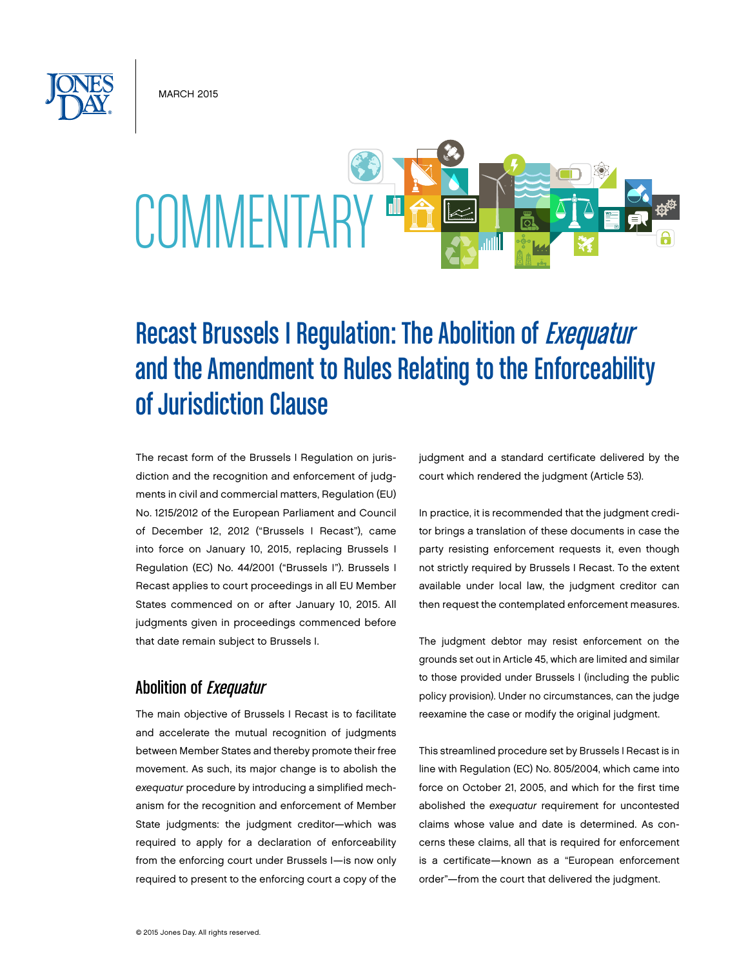**MARCH 2015** 



## Recast Brussels I Regulation: The Abolition of Exequatur and the Amendment to Rules Relating to the Enforceability of Jurisdiction Clause

The recast form of the Brussels I Regulation on jurisdiction and the recognition and enforcement of judgments in civil and commercial matters, Regulation (EU) No. 1215/2012 of the European Parliament and Council of December 12, 2012 ("Brussels I Recast"), came into force on January 10, 2015, replacing Brussels I Regulation (EC) No. 44/2001 ("Brussels I"). Brussels I Recast applies to court proceedings in all EU Member States commenced on or after January 10, 2015. All judgments given in proceedings commenced before that date remain subject to Brussels I.

## Abolition of Exequatur

The main objective of Brussels I Recast is to facilitate and accelerate the mutual recognition of judgments between Member States and thereby promote their free movement. As such, its major change is to abolish the *exequatur* procedure by introducing a simplified mechanism for the recognition and enforcement of Member State judgments: the judgment creditor—which was required to apply for a declaration of enforceability from the enforcing court under Brussels I—is now only required to present to the enforcing court a copy of the judgment and a standard certificate delivered by the court which rendered the judgment (Article 53).

In practice, it is recommended that the judgment creditor brings a translation of these documents in case the party resisting enforcement requests it, even though not strictly required by Brussels I Recast. To the extent available under local law, the judgment creditor can then request the contemplated enforcement measures.

The judgment debtor may resist enforcement on the grounds set out in Article 45, which are limited and similar to those provided under Brussels I (including the public policy provision). Under no circumstances, can the judge reexamine the case or modify the original judgment.

This streamlined procedure set by Brussels I Recast is in line with Regulation (EC) No. 805/2004, which came into force on October 21, 2005, and which for the first time abolished the *exequatur* requirement for uncontested claims whose value and date is determined. As concerns these claims, all that is required for enforcement is a certificate—known as a "European enforcement order"—from the court that delivered the judgment.